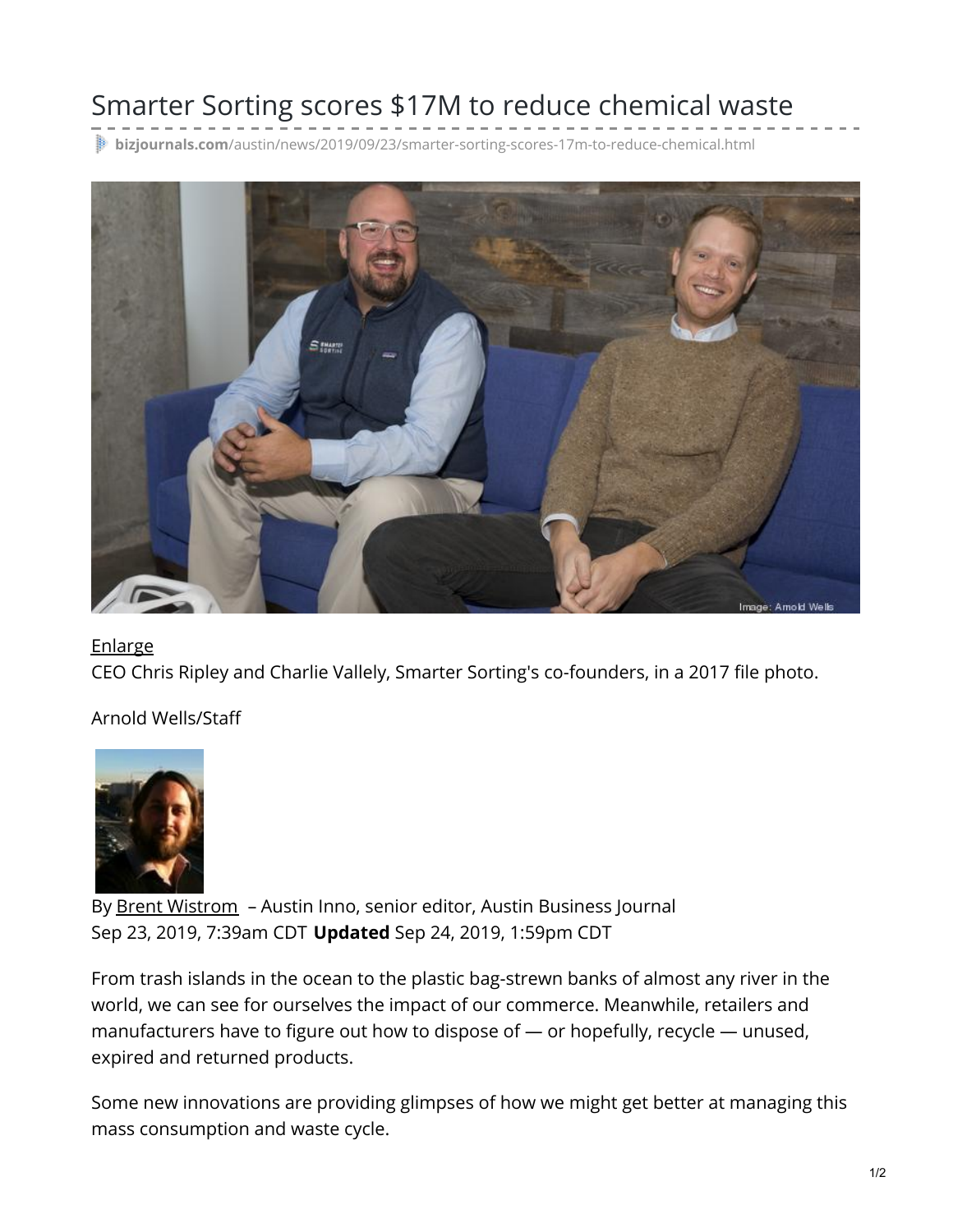## Smarter Sorting scores \$17M to reduce chemical waste

**bizjournals.com**[/austin/news/2019/09/23/smarter-sorting-scores-17m-to-reduce-chemical.html](https://www.bizjournals.com/austin/news/2019/09/23/smarter-sorting-scores-17m-to-reduce-chemical.html)



## **[Enlarge](#page-0-0)**

CEO Chris Ripley and Charlie Vallely, Smarter Sorting's co-founders, in a 2017 file photo.

Arnold Wells/Staff



<span id="page-0-0"></span>By Brent [Wistrom](https://www.bizjournals.com/austin/bio/40647/Brent+Wistrom) - Austin Inno, senior editor, Austin Business Journal Sep 23, 2019, 7:39am CDT **Updated** Sep 24, 2019, 1:59pm CDT

From trash islands in the ocean to the plastic bag-strewn banks of almost any river in the world, we can see for ourselves the impact of our commerce. Meanwhile, retailers and manufacturers have to figure out how to dispose of — or hopefully, recycle — unused, expired and returned products.

Some new innovations are providing glimpses of how we might get better at managing this mass consumption and waste cycle.